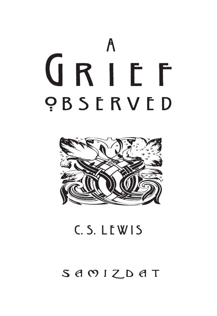# A GRIEF **QBSERVED**



### $C. S. L E W I S$

### Samizdat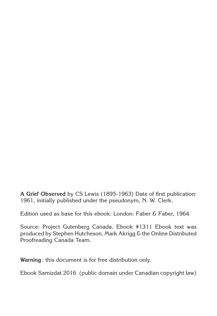**A Grief Observed** by CS Lewis (1895-1963) Date of first publication: 1961, initially published under the pseudonym, N. W. Clerk.

Edition used as base for this ebook: London: Faber & Faber, 1964

Source: [Project Gutenberg Canada](http://www.gutenberg.ca/), Ebook #1311 Ebook text was produced by Stephen Hutcheson, Mark Akrigg & the Online Distributed Proofreading Canada Team.

**Warning** : this document is for free distribution only.

[Ebook Samizdat](http://www.samizdat.qc.ca/Ebooks/) 2016 (public domain under [Canadian copyright law\)](http://laws-lois.justice.gc.ca/eng/acts/C-42/page-3.html#h-6)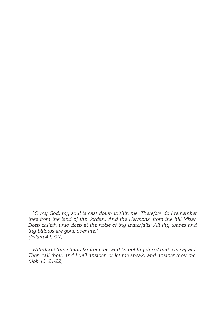*"O my God, my soul is cast down within me: Therefore do I remember thee from the land of the Jordan, And the Hermons, from the hill Mizar. Deep calleth unto deep at the noise of thy waterfalls: All thy waves and thy billows are gone over me." (Pslam 42: 6-7)*

*Withdraw thine hand far from me: and let not thy dread make me afraid. Then call thou, and I will answer: or let me speak, and answer thou me. (Job 13: 21-22)*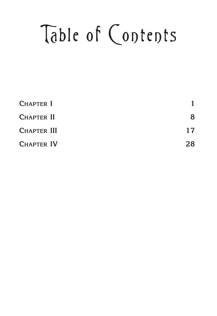# Table of Contents

| <b>CHAPTER I</b>   |    |
|--------------------|----|
| <b>CHAPTER II</b>  | 8  |
| <b>CHAPTER III</b> | 17 |
| <b>CHAPTER IV</b>  | 28 |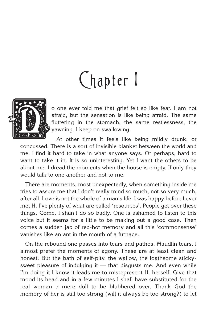### Chapter I



<span id="page-4-0"></span>and the sensation is like being afraid. The same afraid, but the sensation is like being afraid. The same fluttering in the stomach, the same restlessness, the same of the store of the store of the store of the store of th afraid, but the sensation is like being afraid. The same fluttering in the stomach, the same restlessness, the yawning. I keep on swallowing.

At other times it feels like being mildly drunk, or concussed. There is a sort of invisible blanket between the world and me. I find it hard to take in what anyone says. Or perhaps, hard to want to take it in. It is so uninteresting. Yet I want the others to be about me. I dread the moments when the house is empty. If only they would talk to one another and not to me.

There are moments, most unexpectedly, when something inside me tries to assure me that I don't really mind so much, not so very much, after all. Love is not the whole of a man's life. I was happy before I ever met H. I've plenty of what are called 'resources'. People get over these things. Come, I shan't do so badly. One is ashamed to listen to this voice but it seems for a little to be making out a good case. Then comes a sudden jab of red-hot memory and all this 'commonsense' vanishes like an ant in the mouth of a furnace.

On the rebound one passes into tears and pathos. Maudlin tears. I almost prefer the moments of agony. These are at least clean and honest. But the bath of self-pity, the wallow, the loathsome stickysweet pleasure of indulging it — that disgusts me. And even while I'm doing it I know it leads me to misrepresent H. herself. Give that mood its head and in a few minutes I shall have substituted for the real woman a mere doll to be blubbered over. Thank God the memory of her is still too strong (will it always be too strong?) to let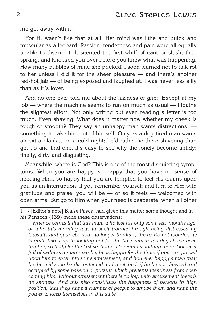me get away with it.

For H. wasn't like that at all. Her mind was lithe and quick and muscular as a leopard. Passion, tenderness and pain were all equally unable to disarm it. It scented the first whiff of cant or slush; then sprang, and knocked you over before you knew what was happening. How many bubbles of mine she pricked! I soon learned not to talk rot to her unless I did it for the sheer pleasure — and there's another red-hot jab — of being exposed and laughed at. I was never less silly than as H's lover.

And no one ever told me about the laziness of grief. Except at my job — where the machine seems to run on much as usual — I loathe the slightest effort. Not only writing but even reading a letter is too much. Even shaving. What does it matter now whether my cheek is rough or smooth? They say an unhappy man wants distractions<sup>1</sup> something to take him out of himself. Only as a dog-tired man wants an extra blanket on a cold night; he'd rather lie there shivering than get up and find one. It's easy to see why the lonely become untidy; finally, dirty and disgusting.

Meanwhile, where is God? This is one of the most disquieting symptoms. When you are happy, so happy that you have no sense of needing Him, so happy that you are tempted to feel His claims upon you as an interruption, if you remember yourself and turn to Him with gratitude and praise, you will be — or so it feels — welcomed with open arms. But go to Him when your need is desperate, when all other

*Whence comes it that this man, who lost his only son a few months ago, or who this morning was in such trouble through being distressed by lawsuits and quarrels, now no longer thinks of them? Do not wonder; he is quite taken up in looking out for the boar which his dogs have been hunting so hotly for the last six hours. He requires nothing more. However*  full of sadness a man may be, he is happy for the time, if you can prevail *upon him to enter into some amusement; and however happy a man may be, he will soon be discontented and wretched, if he be not diverted and occupied by some passion or pursuit which prevents weariness from overcoming him. Without amusement there is no joy; with amusement there is no sadness. And this also constitutes the happiness of persons in high position, that they have a number of people to amuse them and have the power to keep themselves in this state.*

<sup>1</sup> - [Editor's note] Blaise Pascal had given this matter some thought and in his **Pensées** (139) made these observations: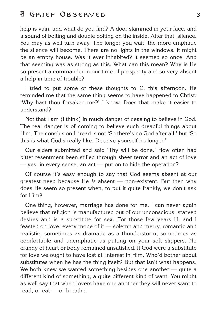help is vain, and what do you find? A door slammed in your face, and a sound of bolting and double bolting on the inside. After that, silence. You may as well turn away. The longer you wait, the more emphatic the silence will become. There are no lights in the windows. It might be an empty house. Was it ever inhabited? It seemed so once. And that seeming was as strong as this. What can this mean? Why is He so present a commander in our time of prosperity and so very absent a help in time of trouble?

I tried to put some of these thoughts to C. this afternoon. He reminded me that the same thing seems to have happened to Christ: 'Why hast thou forsaken me?' I know. Does that make it easier to understand?

Not that I am (I think) in much danger of ceasing to believe in God. The real danger is of coming to believe such dreadful things about Him. The conclusion I dread is not 'So there's no God after all,' but 'So this is what God's really like. Deceive yourself no longer.'

Our elders submitted and said 'Thy will be done.' How often had bitter resentment been stifled through sheer terror and an act of love — yes, in every sense, an act — put on to hide the operation?

Of course it's easy enough to say that God seems absent at our greatest need because He *is* absent — non-existent. But then why does He seem so present when, to put it quite frankly, we don't ask for Him?

One thing, however, marriage has done for me. I can never again believe that religion is manufactured out of our unconscious, starved desires and is a substitute for sex. For those few years H. and I feasted on love; every mode of it — solemn and merry, romantic and realistic, sometimes as dramatic as a thunderstorm, sometimes as comfortable and unemphatic as putting on your soft slippers. No cranny of heart or body remained unsatisfied. If God were a substitute for love we ought to have lost all interest in Him. Who'd bother about substitutes when he has the thing itself? But that isn't what happens. We both knew we wanted something besides one another - quite a different kind of something, a quite different kind of want. You might as well say that when lovers have one another they will never want to read, or eat — or breathe.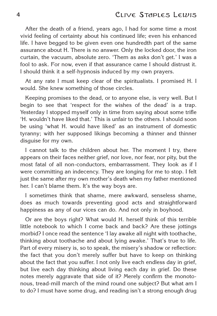After the death of a friend, years ago, I had for some time a most vivid feeling of certainty about his continued life; even his enhanced life. I have begged to be given even one hundredth part of the same assurance about H. There is no answer. Only the locked door, the iron curtain, the vacuum, absolute zero. 'Them as asks don't get.' I was a fool to ask. For now, even if that assurance came I should distrust it. I should think it a self-hypnosis induced by my own prayers.

At any rate I must keep clear of the spiritualists. I promised H. I would. She knew something of those circles.

Keeping promises to the dead, or to anyone else, is very well. But I begin to see that 'respect for the wishes of the dead' is a trap. Yesterday I stopped myself only in time from saying about some trifle 'H. wouldn't have liked that.' This is unfair to the others. I should soon be using 'what H. would have liked' as an instrument of domestic tyranny; with her supposed likings becoming a thinner and thinner disguise for my own.

I cannot talk to the children about her. The moment I try, there appears on their faces neither grief, nor love, nor fear, nor pity, but the most fatal of all non-conductors, embarrassment. They look as if I were committing an indecency. They are longing for me to stop. I felt just the same after my own mother's death when my father mentioned her. I can't blame them. It's the way boys are.

I sometimes think that shame, mere awkward, senseless shame, does as much towards preventing good acts and straightforward happiness as any of our vices can do. And not only in boyhood.

Or are the boys right? What would H. herself think of this terrible little notebook to which I come back and back? Are these jottings morbid? I once read the sentence 'I lay awake all night with toothache, thinking about toothache and about lying awake.' That's true to life. Part of every misery is, so to speak, the misery's shadow or reflection: the fact that you don't merely suffer but have to keep on thinking about the fact that you suffer. I not only live each endless day in grief, but live each day thinking about living each day in grief. Do these notes merely aggravate that side of it? Merely confirm the monotonous, tread-mill march of the mind round one subject? But what am I to do? I must have some drug, and reading isn't a strong enough drug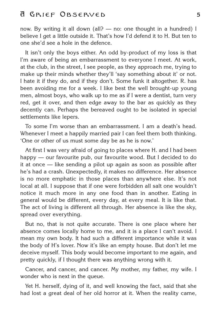now. By writing it all down (all? — no: one thought in a hundred) I believe I get a little outside it. That's how I'd defend it to H. But ten to one she'd see a hole in the defence.

It isn't only the boys either. An odd by-product of my loss is that I'm aware of being an embarrassment to everyone I meet. At work, at the club, in the street, I see people, as they approach me, trying to make up their minds whether they'll 'say something about it' or not. I hate it if they do, and if they don't. Some funk it altogether. R. has been avoiding me for a week. I like best the well brought-up young men, almost boys, who walk up to me as if I were a dentist, turn very red, get it over, and then edge away to the bar as quickly as they decently can. Perhaps the bereaved ought to be isolated in special settlements like lepers.

To some I'm worse than an embarrassment. I am a death's head. Whenever I meet a happily married pair I can feel them both thinking. 'One or other of us must some day be as he is now.'

At first I was very afraid of going to places where H. and I had been happy — our favourite pub, our favourite wood. But I decided to do it at once — like sending a pilot up again as soon as possible after he's had a crash. Unexpectedly, it makes no difference. Her absence is no more emphatic in those places than anywhere else. It's not local at all. I suppose that if one were forbidden all salt one wouldn't notice it much more in any one food than in another. Eating in general would be different, every day, at every meal. It is like that. The act of living is different all through. Her absence is like the sky, spread over everything.

But no, that is not quite accurate. There is one place where her absence comes locally home to me, and it is a place I can't avoid. I mean my own body. It had such a different importance while it was the body of H's lover. Now it's like an empty house. But don't let me deceive myself. This body would become important to me again, and pretty quickly, if I thought there was anything wrong with it.

Cancer, and cancer, and cancer. My mother, my father, my wife. I wonder who is next in the queue.

Yet H. herself, dying of it, and well knowing the fact, said that she had lost a great deal of her old horror at it. When the reality came,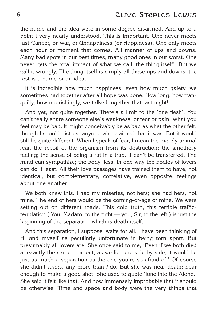the name and the idea were in some degree disarmed. And up to a point I very nearly understood. This is important. One never meets just Cancer, or War, or Unhappiness (or Happiness). One only meets each hour or moment that comes. All manner of ups and downs. Many bad spots in our best times, many good ones in our worst. One never gets the total impact of what we call 'the thing itself'. But we call it wrongly. The thing itself is simply all these ups and downs: the rest is a name or an idea.

It is incredible how much happiness, even how much gaiety, we sometimes had together after all hope was gone. How long, how tranquilly, how nourishingly, we talked together that last night!

And yet, not quite together. There's a limit to the 'one flesh'. You can't really share someone else's weakness, or fear or pain. What you feel may be bad. It might conceivably be as bad as what the other felt, though I should distrust anyone who claimed that it was. But it would still be quite different. When I speak of fear, I mean the merely animal fear, the recoil of the organism from its destruction; the smothery feeling; the sense of being a rat in a trap. It can't be transferred. The mind can sympathize; the body, less. In one way the bodies of lovers can do it least. All their love passages have trained them to have, not identical, but complementary, correlative, even opposite, feelings about one another.

We both knew this. I had my miseries, not hers; she had hers, not mine. The end of hers would be the coming-of-age of mine. We were setting out on different roads. This cold truth, this terrible trafficregulation ('You, Madam, to the right — you, Sir, to the left') is just the beginning of the separation which is death itself.

And this separation, I suppose, waits for all. I have been thinking of H. and myself as peculiarly unfortunate in being torn apart. But presumably all lovers are. She once said to me, 'Even if we both died at exactly the same moment, as we lie here side by side, it would be just as much a separation as the one you're so afraid of.' Of course she didn't *know*, any more than *I* do. But she was near death; near enough to make a good shot. She used to quote 'lone into the Alone.' She said it felt like that. And how immensely improbable that it should be otherwise! Time and space and body were the very things that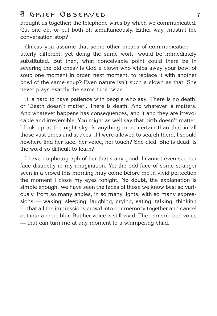brought us together; the telephone wires by which we communicated. Cut one off, or cut both off simultaneously. Either way, mustn't the conversation stop?

Unless you assume that some other means of communication utterly different, yet doing the same work, would be immediately substituted. But then, what conceivable point could there be in severing the old ones? Is God a clown who whips away your bowl of soup one moment in order, next moment, to replace it with another bowl of the same soup? Even nature isn't such a clown as that. She never plays exactly the same tune twice.

It is hard to have patience with people who say 'There is no death' or 'Death doesn't matter'. There is death. And whatever is matters. And whatever happens has consequences, and it and they are irrevocable and irreversible. You might as well say that birth doesn't matter. I look up at the night sky. Is anything more certain than that in all those vast times and spaces, if I were allowed to search them, I should nowhere find her face, her voice, her touch? She died. She is dead. Is the word so difficult to learn?

I have no photograph of her that's any good. I cannot even see her face distinctly in my imagination. Yet the odd face of some stranger seen in a crowd this morning may come before me in vivid perfection the moment I close my eyes tonight. No doubt, the explanation is simple enough. We have seen the faces of those we know best so variously, from so many angles, in so many lights, with so many expressions — waking, sleeping, laughing, crying, eating, talking, thinking — that all the impressions crowd into our memory together and cancel out into a mere blur. But her voice is still vivid. The remembered voice — that can turn me at any moment to a whimpering child.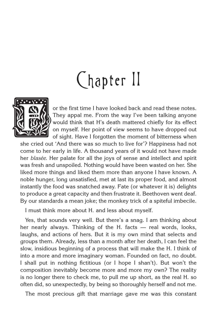## Chapter II

<span id="page-11-0"></span>

or the first time I have looked back and read these notes.<br>
They appal me. From the way I've been talking anyone<br>
would think that H's death mattered chiefly for its effect<br>
on myself. Her point of view seems to have dropp They appal me. From the way I've been talking anyone would think that H's death mattered chiefly for its effect on myself. Her point of view seems to have dropped out

she cried out 'And there was so much to live for'? Happiness had not come to her early in life. A thousand years of it would not have made her *blasée*. Her palate for all the joys of sense and intellect and spirit was fresh and unspoiled. Nothing would have been wasted on her. She liked more things and liked them more than anyone I have known. A noble hunger, long unsatisfied, met at last its proper food, and almost instantly the food was snatched away. Fate (or whatever it is) delights to produce a great capacity and then frustrate it. Beethoven went deaf. By our standards a mean joke; the monkey trick of a spiteful imbecile.

I must think more about H. and less about myself.

Yes, that sounds very well. But there's a snag. I am thinking about her nearly always. Thinking of the H. facts — real words, looks, laughs, and actions of hers. But it is my own mind that selects and groups them. Already, less than a month after her death, I can feel the slow, insidious beginning of a process that will make the H. I think of into a more and more imaginary woman. Founded on fact, no doubt. I shall put in nothing fictitious (or I hope I shan't). But won't the composition inevitably become more and more my own? The reality is no longer there to check me, to pull me up short, as the real H. so often did, so unexpectedly, by being so thoroughly herself and not me.

The most precious gift that marriage gave me was this constant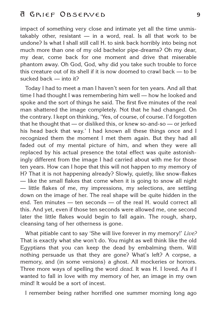impact of something very close and intimate yet all the time unmistakably other, resistant  $-$  in a word, real. Is all that work to be undone? Is what I shall still call H. to sink back horribly into being not much more than one of my old bachelor pipe-dreams? Oh my dear, my dear, come back for one moment and drive that miserable phantom away. Oh God, God, why did you take such trouble to force this creature out of its shell if it is now doomed to crawl back — to be sucked back — into it?

Today I had to meet a man I haven't seen for ten years. And all that time I had thought I was remembering him well — how he looked and spoke and the sort of things he said. The first five minutes of the real man shattered the image completely. Not that he had changed. On the contrary. I kept on thinking, 'Yes, of course, of course. I'd forgotten that he thought that — or disliked this, or knew so-and-so — or jerked his head back that way.' I had known all these things once and I recognized them the moment I met them again. But they had all faded out of my mental picture of him, and when they were all replaced by his actual presence the total effect was quite astonishingly different from the image I had carried about with me for those ten years. How can I hope that this will not happen to my memory of H? That it is not happening already? Slowly, quietly, like snow-flakes — like the small flakes that come when it is going to snow all night — little flakes of me, my impressions, my selections, are settling down on the image of her. The real shape will be quite hidden in the end. Ten minutes  $-$  ten seconds  $-$  of the real H would correct all this. And yet, even if those ten seconds were allowed me, one second later the little flakes would begin to fall again. The rough, sharp, cleansing tang of her otherness is gone.

What pitiable cant to say 'She will live forever in my memory!' *Live?* That is exactly what she won't do. You might as well think like the old Egyptians that you can keep the dead by embalming them. Will nothing persuade us that they are gone? What's left? A corpse, a memory, and (in some versions) a ghost. All mockeries or horrors. Three more ways of spelling the word *dead*. It was H. I loved. As if I wanted to fall in love with my memory of her, an image in my own mind! It would be a sort of incest.

I remember being rather horrified one summer morning long ago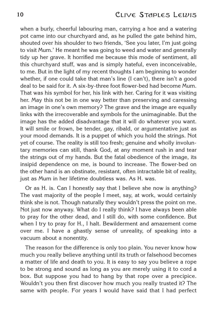when a burly, cheerful labouring man, carrying a hoe and a watering pot came into our churchyard and, as he pulled the gate behind him, shouted over his shoulder to two friends, 'See you later, I'm just going to visit Mum.' He meant he was going to weed and water and generally tidy up her grave. It horrified me because this mode of sentiment, all this churchyard stuff, was and is simply hateful, even inconceivable, to me. But in the light of my recent thoughts I am beginning to wonder whether, if one could take that man's line (I can't), there isn't a good deal to be said for it. A six-by-three foot flower-bed had become Mum. That was his symbol for her, his link with her. Caring for it was visiting her. May this not be in one way better than preserving and caressing an image in one's own memory? The grave and the image are equally links with the irrecoverable and symbols for the unimaginable. But the image has the added disadvantage that it will do whatever you want. It will smile or frown, be tender, gay, ribald, or argumentative just as your mood demands. It is a puppet of which you hold the strings. Not yet of course. The reality is still too fresh; genuine and wholly involuntary memories can still, thank God, at any moment rush in and tear the strings out of my hands. But the fatal obedience of the image, its insipid dependence on me, is bound to increase. The flower-bed on the other hand is an obstinate, resistant, often intractable bit of reality, just as Mum in her lifetime doubtless was. As H. was.

Or as H. is. Can I honestly say that I believe she now is anything? The vast majority of the people I meet, say, at work, would certainly think she is not. Though naturally they wouldn't press the point on me. Not just now anyway. What do I really think? I have always been able to pray for the other dead, and I still do, with some confidence. But when I try to pray for H., I halt. Bewilderment and amazement come over me. I have a ghastly sense of unreality, of speaking into a vacuum about a nonentity.

The reason for the difference is only too plain. You never know how much you really believe anything until its truth or falsehood becomes a matter of life and death to you. It is easy to say you believe a rope to be strong and sound as long as you are merely using it to cord a box. But suppose you had to hang by that rope over a precipice. Wouldn't you then first discover how much you really trusted it? The same with people. For years I would have said that I had perfect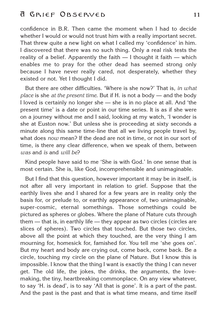confidence in B.R. Then came the moment when I had to decide whether I would or would not trust him with a really important secret. That threw quite a new light on what I called my 'confidence' in him. I discovered that there was no such thing. Only a real risk tests the reality of a belief. Apparently the faith — I thought it faith — which enables me to pray for the other dead has seemed strong only because I have never really cared, not desperately, whether they existed or not. Yet I thought I did.

But there are other difficulties. 'Where is she now?' That is, *in what place* is she *at the present time*. But if H. is not a body — and the body I loved is certainly no longer she — she is in no place at all. And 'the present time' is a date or point in our time series. It is as if she were on a journey without me and I said, looking at my watch, 'I wonder is she at Euston now.' But unless she is proceeding at sixty seconds a minute along this same time-line that all we living people travel by, what does *now* mean? If the dead are not in time, or not in our sort of time, is there any clear difference, when we speak of them, between *was* and *is* and *will be*?

Kind people have said to me 'She is with God.' In one sense that is most certain. She is, like God, incomprehensible and unimaginable.

But I find that this question, however important it may be in itself, is not after all very important in relation to grief. Suppose that the earthly lives she and I shared for a few years are in reality only the basis for, or prelude to, or earthly appearance of, two unimaginable, super-cosmic, eternal somethings. Those somethings could be pictured as spheres or globes. Where the plane of Nature cuts through them — that is, in earthly life — they appear as two circles (circles are slices of spheres). Two circles that touched. But those two circles, above all the point at which they touched, are the very thing I am mourning for, homesick for, famished for. You tell me 'she goes on'. But my heart and body are crying out, come back, come back. Be a circle, touching my circle on the plane of Nature. But I know this is impossible. I know that the thing I want is exactly the thing I can never get. The old life, the jokes, the drinks, the arguments, the lovemaking, the tiny, heartbreaking commonplace. On any view whatever, to say 'H. is dead', is to say 'All that is gone'. It is a part of the past. And the past is the past and that is what time means, and time itself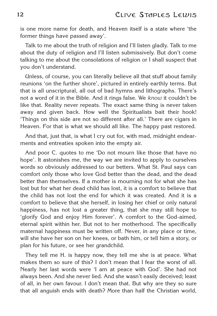is one more name for death, and Heaven itself is a state where 'the former things have passed away'.

Talk to me about the truth of religion and I'll listen gladly. Talk to me about the duty of religion and I'll listen submissively. But don't come talking to me about the consolations of religion or I shall suspect that you don't understand.

Unless, of course, you can literally believe all that stuff about family reunions 'on the further shore', pictured in entirely earthly terms. But that is all unscriptural, all out of bad hymns and lithographs. There's not a word of it in the Bible. And it rings false. We *know* it couldn't be like that. Reality never repeats. The exact same thing is never taken away and given back. How well the Spiritualists bait their hook! 'Things on this side are not so different after all.' There are cigars in Heaven. For that is what we should all like. The happy past restored.

And that, just that, is what I cry out for, with mad, midnight endearments and entreaties spoken into the empty air.

And poor C. quotes to me 'Do not mourn like those that have no hope'. It astonishes me, the way we are invited to apply to ourselves words so obviously addressed to our betters. What St. Paul says can comfort only those who love God better than the dead, and the dead better than themselves. If a mother is mourning not for what she has lost but for what her dead child has lost, it is a comfort to believe that the child has not lost the end for which it was created. And it is a comfort to believe that she herself, in losing her chief or only natural happiness, has not lost a greater thing, that she may still hope to 'glorify God and enjoy Him forever'. A comfort to the God-aimed, eternal spirit within her. But not to her motherhood. The specifically maternal happiness must be written off. Never, in any place or time, will she have her son on her knees, or bath him, or tell him a story, or plan for his future, or see her grandchild.

They tell me H. is happy now, they tell me she is at peace. What makes them so sure of this? I don't mean that I fear the worst of all. Nearly her last words were 'I am at peace with God'. She had not always been. And she never lied. And she wasn't easily deceived; least of all, in her own favour. I don't mean that. But why are they so sure that all anguish ends with death? More than half the Christian world,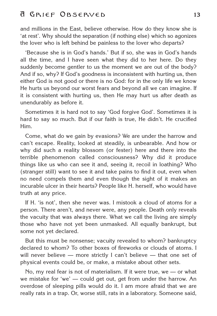and millions in the East, believe otherwise. How do they know she is 'at rest'. Why should the separation (if nothing else) which so agonizes the lover who is left behind be painless to the lover who departs?

'Because she is in God's hands.' But if so, she was in God's hands all the time, and I have seen what they did to her here. Do they suddenly become gentler to us the moment we are out of the body? And if so, why? If God's goodness is inconsistent with hurting us, then either God is not good or there is no God: for in the only life we know He hurts us beyond our worst fears and beyond all we can imagine. If it is consistent with hurting us, then He may hurt us after death as unendurably as before it.

Sometimes it is hard not to say 'God forgive God'. Sometimes it is hard to say so much. But if our faith is true, He didn't. He crucified Him.

Come, what do we gain by evasions? We are under the harrow and can't escape. Reality, looked at steadily, is unbearable. And how or why did such a reality blossom (or fester) here and there into the terrible phenomenon called consciousness? Why did it produce things like us who can see it and, seeing it, recoil in loathing? Who (stranger still) want to see it and take pains to find it out, even when no need compels them and even though the sight of it makes an incurable ulcer in their hearts? People like H. herself, who would have truth at any price.

If H. 'is not', then she never was. I mistook a cloud of atoms for a person. There aren't, and never were, any people. Death only reveals the vacuity that was always there. What we call the living are simply those who have not yet been unmasked. All equally bankrupt, but some not yet declared.

But this must be nonsense; vacuity revealed to whom? bankruptcy declared to whom? To other boxes of fireworks or clouds of atoms. I will never believe — more strictly I can't believe — that one set of physical events could be, or make, a mistake about other sets.

No, my real fear is not of materialism. If it were true, we — or what we mistake for 'we' — could get out, get from under the harrow. An overdose of sleeping pills would do it. I am more afraid that we are really rats in a trap. Or, worse still, rats in a laboratory. Someone said,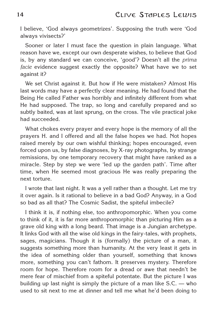I believe, 'God always geometrizes'. Supposing the truth were 'God always vivisects?'

Sooner or later I must face the question in plain language. What reason have we, except our own desperate wishes, to believe that God is, by any standard we can conceive, 'good'? Doesn't all the *prima facie* evidence suggest exactly the opposite? What have we to set against it?

We set Christ against it. But how if He were mistaken? Almost His last words may have a perfectly clear meaning. He had found that the Being He called Father was horribly and infinitely different from what He had supposed. The trap, so long and carefully prepared and so subtly baited, was at last sprung, on the cross. The vile practical joke had succeeded.

What chokes every prayer and every hope is the memory of all the prayers H. and I offered and all the false hopes we had. Not hopes raised merely by our own wishful thinking; hopes encouraged, even forced upon us, by false diagnoses, by X-ray photographs, by strange remissions, by one temporary recovery that might have ranked as a miracle. Step by step we were 'led up the garden path'. Time after time, when He seemed most gracious He was really preparing the next torture.

I wrote that last night. It was a yell rather than a thought. Let me try it over again. Is it rational to believe in a bad God? Anyway, in a God so bad as all that? The Cosmic Sadist, the spiteful imbecile?

I think it is, if nothing else, too anthropomorphic. When you come to think of it, it is far more anthropomorphic than picturing Him as a grave old king with a long beard. That image is a Jungian archetype. It links God with all the wise old kings in the fairy-tales, with prophets, sages, magicians. Though it is (formally) the picture of a man, it suggests something more than humanity. At the very least it gets in the idea of something older than yourself, something that knows more, something you can't fathom. It preserves mystery. Therefore room for hope. Therefore room for a dread or awe that needn't be mere fear of mischief from a spiteful potentate. But the picture I was building up last night is simply the picture of a man like S.C. — who used to sit next to me at dinner and tell me what he'd been doing to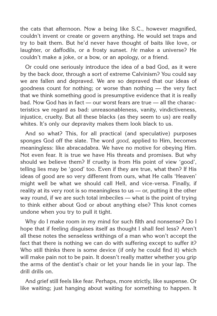the cats that afternoon. Now a being like S.C., however magnified, couldn't invent or create or govern anything. He would set traps and try to bait them. But he'd never have thought of baits like love, or laughter, or daffodils, or a frosty sunset. *He* make a universe? He couldn't make a joke, or a bow, or an apology, or a friend.

Or could one seriously introduce the idea of a bad God, as it were by the back door, through a sort of extreme Calvinism? You could say we are fallen and depraved. We are so depraved that our ideas of goodness count for nothing; or worse than nothing — the very fact that we think something good is presumptive evidence that it is really bad. Now God has in fact — our worst fears are true — all the characteristics we regard as bad: unreasonableness, vanity, vindictiveness, injustice, cruelty. But all these blacks (as they seem to us) are really whites. It's only our depravity makes them look black to us.

And so what? This, for all practical (and speculative) purposes sponges God off the slate. The word *good*, applied to Him, becomes meaningless: like abracadabra. We have no motive for obeying Him. Not even fear. It is true we have His threats and promises. But why should we believe them? If cruelty is from His point of view 'good', telling lies may be 'good' too. Even if they are true, what then? If His ideas of good are so very different from ours, what He calls 'Heaven' might well be what we should call Hell, and vice-versa. Finally, if reality at its very root is so meaningless to us — or, putting it the other way round, if we are such total imbeciles — what is the point of trying to think either about God or about anything else? This knot comes undone when you try to pull it tight.

Why do I make room in my mind for such filth and nonsense? Do I hope that if feeling disguises itself as thought I shall feel less? Aren't all these notes the senseless writhings of a man who won't accept the fact that there is nothing we can do with suffering except to suffer it? Who still thinks there is some device (if only he could find it) which will make pain not to be pain. It doesn't really matter whether you grip the arms of the dentist's chair or let your hands lie in your lap. The drill drills on.

And grief still feels like fear. Perhaps, more strictly, like suspense. Or like waiting; just hanging about waiting for something to happen. It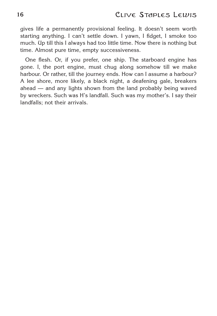gives life a permanently provisional feeling. It doesn't seem worth starting anything. I can't settle down. I yawn, I fidget, I smoke too much. Up till this I always had too little time. Now there is nothing but time. Almost pure time, empty successiveness.

One flesh. Or, if you prefer, one ship. The starboard engine has gone. I, the port engine, must chug along somehow till we make harbour. Or rather, till the journey ends. How can I assume a harbour? A lee shore, more likely, a black night, a deafening gale, breakers ahead — and any lights shown from the land probably being waved by wreckers. Such was H's landfall. Such was my mother's. I say their landfalls; not their arrivals.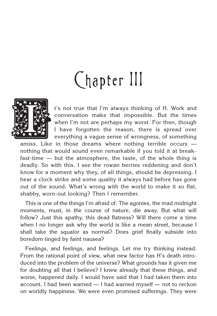## Chapter III

<span id="page-20-0"></span>

t's not true that I'm always thinking of H. Work and conversation make that impossible. But the times when I'm not are perhaps my worst. For then, though I have forgotten the reason, there is spread over everything a vague sense of wrongness, of something

amiss. Like in those dreams where nothing terrible occurs nothing that would sound even remarkable if you told it at breakfast-time — but the atmosphere, the taste, of the whole thing is deadly. So with this. I see the rowan berries reddening and don't know for a moment why they, of all things, should be depressing. I hear a clock strike and some quality it always had before has gone out of the sound. What's wrong with the world to make it so flat, shabby, worn-out looking? Then I remember.

This is one of the things I'm afraid of. The agonies, the mad midnight moments, must, in the course of nature, die away. But what will follow? Just this apathy, this dead flatness? Will there come a time when I no longer ask why the world is like a mean street, because I shall take the squalor as normal? Does grief finally subside into boredom tinged by faint nausea?

Feelings, and feelings, and feelings. Let me try thinking instead. From the rational point of view, what new factor has H's death introduced into the problem of the universe? What grounds has it given me for doubting all that I believe? I knew already that these things, and worse, happened daily. I would have said that I had taken them into account. I had been warned — I had warned myself — not to reckon on worldly happiness. We were even promised sufferings. They were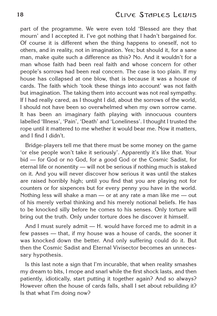part of the programme. We were even told 'Blessed are they that mourn' and I accepted it. I've got nothing that I hadn't bargained for. Of course it is different when the thing happens to oneself, not to others, and in reality, not in imagination. Yes; but should it, for a sane man, make quite such a difference as this? No. And it wouldn't for a man whose faith had been real faith and whose concern for other people's sorrows had been real concern. The case is too plain. If my house has collapsed at one blow, that is because it was a house of cards. The faith which 'took these things into account' was not faith but imagination. The taking them into account was not real sympathy. If I had really cared, as I thought I did, about the sorrows of the world, I should not have been so overwhelmed when my own sorrow came. It has been an imaginary faith playing with innocuous counters labelled 'Illness', 'Pain', 'Death' and 'Loneliness'. I thought I trusted the rope until it mattered to me whether it would bear me. Now it matters, and I find I didn't.

Bridge-players tell me that there must be some money on the game 'or else people won't take it seriously'. Apparently it's like that. Your bid — for God or no God, for a good God or the Cosmic Sadist, for eternal life or nonentity — will not be serious if nothing much is staked on it. And you will never discover how serious it was until the stakes are raised horribly high; until you find that you are playing not for counters or for sixpences but for every penny you have in the world. Nothing less will shake a man — or at any rate a man like me — out of his merely verbal thinking and his merely notional beliefs. He has to be knocked silly before he comes to his senses. Only torture will bring out the truth. Only under torture does he discover it himself.

And I must surely admit — H. would have forced me to admit in a few passes — that, if my house was a house of cards, the sooner it was knocked down the better. And only suffering could do it. But then the Cosmic Sadist and Eternal Vivisector becomes an unnecessary hypothesis.

Is this last note a sign that I'm incurable, that when reality smashes my dream to bits, I mope and snarl while the first shock lasts, and then patiently, idiotically, start putting it together again? And so always? However often the house of cards falls, shall I set about rebuilding it? Is that what I'm doing now?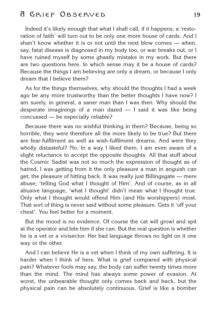Indeed it's likely enough that what I shall call, if it happens, a 'restoration of faith' will turn out to be only one more house of cards. And I shan't know whether it is or not until the next blow comes — when, say, fatal disease is diagnosed in my body too, or war breaks out, or I have ruined myself by some ghastly mistake in my work. But there are two questions here. In which sense may it be a house of cards? Because the things I am believing are only a dream, or because I only dream that I believe them?

As for the things themselves, why should the thoughts I had a week ago be any more trustworthy than the better thoughts I have now? I am surely, in general, a saner man than I was then. Why should the desperate imaginings of a man dazed  $-1$  said it was like being concussed — be especially reliable?

Because there was no wishful thinking in them? Because, being so horrible, they were therefore all the more likely to be true? But there are fear-fulfilment as well as wish-fulfilment dreams. And were they wholly distasteful? No. In a way I liked them. I am even aware of a slight reluctance to accept the opposite thoughts. All that stuff about the Cosmic Sadist was not so much the expression of thought as of hatred. I was getting from it the only pleasure a man in anguish can get; the pleasure of hitting back. It was really just Billingsgate — mere abuse; 'telling God what I thought of Him'. And of course, as in all abusive language, 'what I thought' didn't mean what I thought true. Only what I thought would offend Him (and His worshippers) most. That sort of thing is never said without some pleasure. Gets it 'off your chest'. You feel better for a moment.

But the mood is no evidence. Of course the cat will growl and spit at the operator and bite him if she can. But the real question is whether he is a vet or a vivisector. Her bad language throws no light on it one way or the other.

And I can believe He is a vet when I think of my own suffering. It is harder when I think of hers. What is grief compared with physical pain? Whatever fools may say, the body can suffer twenty times more than the mind. The mind has always some power of evasion. At worst, the unbearable thought only comes back and back, but the physical pain can be absolutely continuous. Grief is like a bomber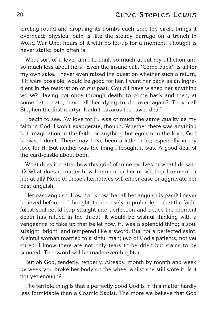circling round and dropping its bombs each time the circle brings it overhead; physical pain is like the steady barrage on a trench in World War One, hours of it with no let-up for a moment. Thought is never static; pain often is.

What sort of a lover am I to think so much about my affliction and so much less about hers? Even the insane call, 'Come back', is all for my own sake. I never even raised the question whether such a return, if it were possible, would be good for her. I want her back as an ingredient in the restoration of *my* past. Could I have wished her anything worse? Having got once through death, to come back and then, at some later date, have all her dying to do over again? They call Stephen the first martyr. Hadn't Lazarus the rawer deal?

I begin to see. My love for H. was of much the same quality as my faith in God. I won't exaggerate, though. Whether there was anything but imagination in the faith, or anything but egoism in the love, God knows. I don't. There may have been a little more; especially in my love for H. But neither was the thing I thought it was. A good deal of the card-castle about both.

What does it matter how this grief of mine evolves or what I do with it? What does it matter how I remember her or whether I remember her at all? None of these alternatives will either ease or aggravate her past anguish.

Her past anguish. How do I know that all her anguish is past? I never believed before — I thought it immensely improbable — that the faithfulest soul could leap straight into perfection and peace the moment death has rattled in the throat. It would be wishful thinking with a vengeance to take up that belief now. H. was a splendid thing; a soul straight, bright, and tempered like a sword. But not a perfected saint. A sinful woman married to a sinful man; two of God's patients, not yet cured. I know there are not only tears to be dried but stains to be scoured. The sword will be made even brighter.

But oh God, tenderly, tenderly. Already, month by month and week by week you broke her body on the wheel whilst she still wore it. Is it not yet enough?

The terrible thing is that a perfectly good God is in this matter hardly less formidable than a Cosmic Sadist. The more we believe that God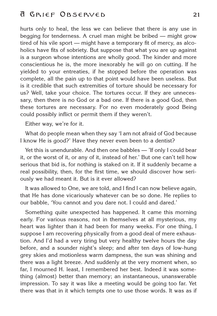hurts only to heal, the less we can believe that there is any use in begging for tenderness. A cruel man might be bribed — might grow tired of his vile sport — might have a temporary fit of mercy, as alcoholics have fits of sobriety. But suppose that what you are up against is a surgeon whose intentions are wholly good. The kinder and more conscientious he is, the more inexorably he will go on cutting. If he yielded to your entreaties, if he stopped before the operation was complete, all the pain up to that point would have been useless. But is it credible that such extremities of torture should be necessary for us? Well, take your choice. The tortures occur. If they are unnecessary, then there is no God or a bad one. If there is a good God, then these tortures are necessary. For no even moderately good Being could possibly inflict or permit them if they weren't.

Either way, we're for it.

What do people mean when they say 'I am not afraid of God because I know He is good?' Have they never even been to a dentist?

Yet this is unendurable. And then one babbles — 'If only I could bear it, or the worst of it, or any of it, instead of her.' But one can't tell how serious that bid is, for nothing is staked on it. If it suddenly became a real possibility, then, for the first time, we should discover how seriously we had meant it. But is it ever allowed?

It was allowed to One, we are told, and I find I can now believe again, that He has done vicariously whatever can be so done. He replies to our babble, 'You cannot and you dare not. I could and dared.'

Something quite unexpected has happened. It came this morning early. For various reasons, not in themselves at all mysterious, my heart was lighter than it had been for many weeks. For one thing, I suppose I am recovering physically from a good deal of mere exhaustion. And I'd had a very tiring but very healthy twelve hours the day before, and a sounder night's sleep; and after ten days of low-hung grey skies and motionless warm dampness, the sun was shining and there was a light breeze. And suddenly at the very moment when, so far, I mourned H. least, I remembered her best. Indeed it was something (almost) better than memory; an instantaneous, unanswerable impression. To say it was like a meeting would be going too far. Yet there was that in it which tempts one to use those words. It was as if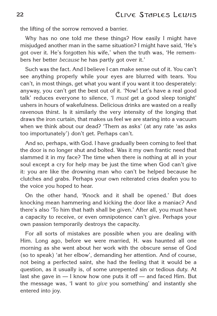the lifting of the sorrow removed a barrier.

Why has no one told me these things? How easily I might have misjudged another man in the same situation? I might have said, 'He's got over it. He's forgotten his wife,' when the truth was, 'He remembers her better *because* he has partly got over it.'

Such was the fact. And I believe I can make sense out of it. You can't see anything properly while your eyes are blurred with tears. You can't, in most things, get what you want if you want it too desperately: anyway, you can't get the best out of it. 'Now! Let's have a real good talk' reduces everyone to silence, 'I *must* get a good sleep tonight' ushers in hours of wakefulness. Delicious drinks are wasted on a really ravenous thirst. Is it similarly the very intensity of the longing that draws the iron curtain, that makes us feel we are staring into a vacuum when we think about our dead? 'Them as asks' (at any rate 'as asks too importunately') don't get. Perhaps can't.

And so, perhaps, with God. I have gradually been coming to feel that the door is no longer shut and bolted. Was it my own frantic need that slammed it in my face? The time when there is nothing at all in your soul except a cry for help may be just the time when God can't give it: you are like the drowning man who can't be helped because he clutches and grabs. Perhaps your own reiterated cries deafen you to the voice you hoped to hear.

On the other hand, 'Knock and it shall be opened.' But does knocking mean hammering and kicking the door like a maniac? And there's also 'To him that hath shall be given.' After all, you must have a capacity to receive, or even omnipotence can't give. Perhaps your own passion temporarily destroys the capacity.

For all sorts of mistakes are possible when you are dealing with Him. Long ago, before we were married, H. was haunted all one morning as she went about her work with the obscure sense of God (so to speak) 'at her elbow', demanding her attention. And of course, not being a perfected saint, she had the feeling that it would be a question, as it usually is, of some unrepented sin or tedious duty. At last she gave in  $-1$  know how one puts it off  $-$  and faced Him. But the message was, 'I want to *give* you something' and instantly she entered into joy.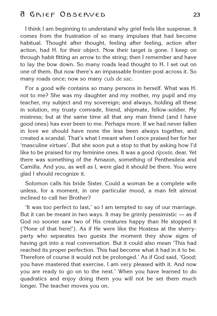I think I am beginning to understand why grief feels like suspense. It comes from the frustration of so many impulses that had become habitual. Thought after thought, feeling after feeling, action after action, had H. for their object. Now their target is gone. I keep on through habit fitting an arrow to the string; then I remember and have to lay the bow down. So many roads lead thought to H. I set out on one of them. But now there's an impassable frontier-post across it. So many roads once; now so many *culs de sac*.

For a good wife contains so many persons in herself. What was H. not to me? She was my daughter and my mother, my pupil and my teacher, my subject and my sovereign; and always, holding all these in solution, my trusty comrade, friend, shipmate, fellow-soldier. My mistress; but at the same time all that any man friend (and I have good ones) has ever been to me. Perhaps more. If we had never fallen in love we should have none the less been always together, and created a scandal. That's what I meant when I once praised her for her 'masculine virtues'. But she soon put a stop to that by asking how I'd like to be praised for my feminine ones. It was a good *riposte*, dear. Yet there was something of the Amazon, something of Penthesileia and Camilla. And you, as well as I, were glad it should be there. You were glad I should recognize it.

Solomon calls his bride Sister. Could a woman be a complete wife unless, for a moment, in one particular mood, a man felt almost inclined to call her Brother?

'It was too perfect to last,' so I am tempted to say of our marriage. But it can be meant in two ways. It may be grimly pessimistic  $-$  as if God no sooner saw two of His creatures happy than He stopped it ('None of that here!'). As if He were like the Hostess at the sherryparty who separates two guests the moment they show signs of having got into a real conversation. But it could also mean 'This had reached its proper perfection. This had become what it had in it to be. Therefore of course it would not be prolonged.' As if God said, 'Good; you have mastered that exercise. I am very pleased with it. And now you are ready to go on to the next.' When you have learned to do quadratics and enjoy doing them you will not be set them much longer. The teacher moves you on.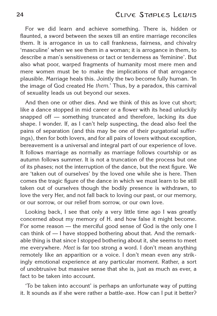For we did learn and achieve something. There is, hidden or flaunted, a sword between the sexes till an entire marriage reconciles them. It is arrogance in us to call frankness, fairness, and chivalry 'masculine' when we see them in a woman; it is arrogance in them, to describe a man's sensitiveness or tact or tenderness as 'feminine'. But also what poor, warped fragments of humanity most mere men and mere women must be to make the implications of that arrogance plausible. Marriage heals this. Jointly the two become fully human. 'In the image of God created He *them*.' Thus, by a paradox, this carnival of sexuality leads us out beyond our sexes.

And then one or other dies. And we think of this as love cut short; like a dance stopped in mid career or a flower with its head unluckily snapped off — something truncated and therefore, lacking its due shape. I wonder. If, as I can't help suspecting, the dead also feel the pains of separation (and this may be one of their purgatorial sufferings), then for both lovers, and for all pairs of lovers without exception, bereavement is a universal and integral part of our experience of love. It follows marriage as normally as marriage follows courtship or as autumn follows summer. It is not a truncation of the process but one of its phases; not the interruption of the dance, but the next figure. We are 'taken out of ourselves' by the loved one while she is here. Then comes the tragic figure of the dance in which we must learn to be still taken out of ourselves though the bodily presence is withdrawn, to love the very Her, and not fall back to loving our past, or our memory, or our sorrow, or our relief from sorrow, or our own love.

Looking back, I see that only a very little time ago I was greatly concerned about my memory of H. and how false it might become. For some reason — the merciful good sense of God is the only one I can think of — I have stopped bothering about that. And the remarkable thing is that since I stopped bothering about it, she seems to meet me everywhere. *Meet* is far too strong a word. I don't mean anything remotely like an apparition or a voice. I don't mean even any strikingly emotional experience at any particular moment. Rather, a sort of unobtrusive but massive sense that she is, just as much as ever, a fact to be taken into account.

'To be taken into account' is perhaps an unfortunate way of putting it. It sounds as if she were rather a battle-axe. How can I put it better?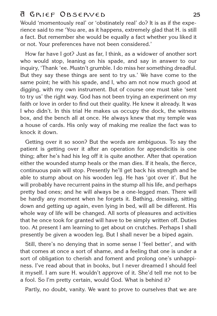Would 'momentously real' or 'obstinately real' do? It is as if the experience said to me 'You are, as it happens, extremely glad that H. is still a fact. But remember she would be equally a fact whether you liked it or not. Your preferences have not been considered.'

How far have I got? Just as far, I think, as a widower of another sort who would stop, leaning on his spade, and say in answer to our inquiry, 'Thank 'ee. Mustn't grumble. I do miss her something dreadful. But they say these things are sent to try us.' We have come to the same point; he with his spade, and I, who am not now much good at digging, with my own instrument. But of course one must take 'sent to try us' the right way. God has not been trying an experiment on my faith or love in order to find out their quality. He knew it already. It was I who didn't. In this trial He makes us occupy the dock, the witness box, and the bench all at once. He always knew that my temple was a house of cards. His only way of making me realize the fact was to knock it down.

Getting over it so soon? But the words are ambiguous. To say the patient is getting over it after an operation for appendicitis is one thing; after he's had his leg off it is quite another. After that operation either the wounded stump heals or the man dies. If it heals, the fierce, continuous pain will stop. Presently he'll get back his strength and be able to stump about on his wooden leg. He has 'got over it'. But he will probably have recurrent pains in the stump all his life, and perhaps pretty bad ones; and he will always be a one-legged man. There will be hardly any moment when he forgets it. Bathing, dressing, sitting down and getting up again, even lying in bed, will all be different. His whole way of life will be changed. All sorts of pleasures and activities that he once took for granted will have to be simply written off. Duties too. At present I am learning to get about on crutches. Perhaps I shall presently be given a wooden leg. But I shall never be a biped again.

Still, there's no denying that in some sense I 'feel better', and with that comes at once a sort of shame, and a feeling that one is under a sort of obligation to cherish and foment and prolong one's unhappiness. I've read about that in books, but I never dreamed I should feel it myself. I am sure H. wouldn't approve of it. She'd tell me not to be a fool. So I'm pretty certain, would God. What is behind it?

Partly, no doubt, vanity. We want to prove to ourselves that we are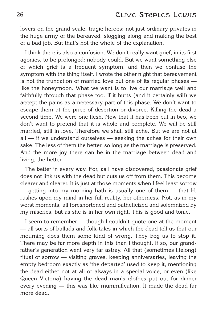lovers on the grand scale, tragic heroes; not just ordinary privates in the huge army of the bereaved, slogging along and making the best of a bad job. But that's not the whole of the explanation.

I think there is also a confusion. We don't really want grief, in its first agonies, to be prolonged: nobody could. But we want something else of which grief is a frequent symptom, and then we confuse the symptom with the thing itself. I wrote the other night that bereavement is not the truncation of married love but one of its regular phases like the honeymoon. What we want is to live our marriage well and faithfully through that phase too. If it hurts (and it certainly will) we accept the pains as a necessary part of this phase. We don't want to escape them at the price of desertion or divorce. Killing the dead a second time. We were one flesh. Now that it has been cut in two, we don't want to pretend that it is whole and complete. We will be still married, still in love. Therefore we shall still ache. But we are not at all — if we understand ourselves — seeking the aches for their own sake. The less of them the better, so long as the marriage is preserved. And the more joy there can be in the marriage between dead and living, the better.

The better in every way. For, as I have discovered, passionate grief does not link us with the dead but cuts us off from them. This become clearer and clearer. It is just at those moments when I feel least sorrow — getting into my morning bath is usually one of them — that H. rushes upon my mind in her full reality, her otherness. Not, as in my worst moments, all foreshortened and patheticized and solemnized by my miseries, but as she is in her own right. This is good and tonic.

I seem to remember — though I couldn't quote one at the moment — all sorts of ballads and folk-tales in which the dead tell us that our mourning does them some kind of wrong. They beg us to stop it. There may be far more depth in this than I thought. If so, our grandfather's generation went very far astray. All that (sometimes lifelong) ritual of sorrow — visiting graves, keeping anniversaries, leaving the empty bedroom exactly as 'the departed' used to keep it, mentioning the dead either not at all or always in a special voice, or even (like Queen Victoria) having the dead man's clothes put out for dinner every evening — this was like mummification. It made the dead far more dead.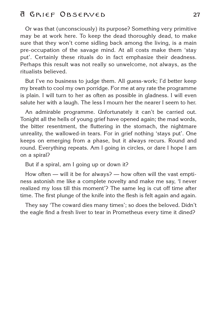Or was that (unconsciously) its purpose? Something very primitive may be at work here. To keep the dead thoroughly dead, to make sure that they won't come sidling back among the living, is a main pre-occupation of the savage mind. At all costs make them 'stay put'. Certainly these rituals do in fact emphasize their deadness. Perhaps this result was not really so unwelcome, not always, as the ritualists believed.

But I've no business to judge them. All guess-work; I'd better keep my breath to cool my own porridge. For me at any rate the programme is plain. I will turn to her as often as possible in gladness. I will even salute her with a laugh. The less I mourn her the nearer I seem to her.

An admirable programme. Unfortunately it can't be carried out. Tonight all the hells of young grief have opened again; the mad words, the bitter resentment, the fluttering in the stomach, the nightmare unreality, the wallowed-in tears. For in grief nothing 'stays put'. One keeps on emerging from a phase, but it always recurs. Round and round. Everything repeats. Am I going in circles, or dare I hope I am on a spiral?

But if a spiral, am I going up or down it?

How often — will it be for always? — how often will the vast emptiness astonish me like a complete novelty and make me say, 'I never realized my loss till this moment'? The same leg is cut off time after time. The first plunge of the knife into the flesh is felt again and again.

They say 'The coward dies many times'; so does the beloved. Didn't the eagle find a fresh liver to tear in Prometheus every time it dined?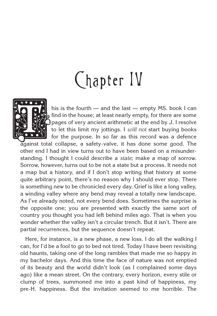### Chapter IV

<span id="page-31-0"></span>

his is the fourth  $-$  and the last  $-$  empty MS. book I can find in the house; at least nearly empty, for there are some pages of very ancient arithmetic at the end by J. I resolve to let this limit my jottings. I *will not* start buying books for the purpose. In so far as this record was a defence

against total collapse, a safety-valve, it has done some good. The other end I had in view turns out to have been based on a misunderstanding. I thought I could describe a *state*; make a map of sorrow. Sorrow, however, turns out to be not a state but a process. It needs not a map but a history, and if I don't stop writing that history at some quite arbitrary point, there's no reason why I should ever stop. There is something new to be chronicled every day. Grief is like a long valley, a winding valley where any bend may reveal a totally new landscape. As I've already noted, not every bend does. Sometimes the surprise is the opposite one; you are presented with exactly the same sort of country you thought you had left behind miles ago. That is when you wonder whether the valley isn't a circular trench. But it isn't. There are partial recurrences, but the sequence doesn't repeat.

Here, for instance, is a new phase, a new loss. I do all the walking I can, for I'd be a fool to go to bed not tired. Today I have been revisiting old haunts, taking one of the long rambles that made me so happy in my bachelor days. And this time the face of nature was not emptied of its beauty and the world didn't look (as I complained some days ago) like a mean street. On the contrary, every horizon, every stile or clump of trees, summoned me into a past kind of happiness, my pre-H. happiness. But the invitation seemed to me horrible. The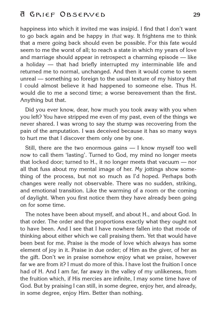happiness into which it invited me was insipid. I find that I don't want to go back again and be happy in *that* way. It frightens me to think that a mere going back should even be possible. For this fate would seem to me the worst of all; to reach a state in which my years of love and marriage should appear in retrospect a charming episode — like a holiday — that had briefly interrupted my interminable life and returned me to normal, unchanged. And then it would come to seem unreal — something so foreign to the usual texture of my history that I could almost believe it had happened to someone else. Thus H. would die to me a second time; a worse bereavement than the first. Anything but that.

Did you ever know, dear, how much you took away with you when you left? You have stripped me even of my past, even of the things we never shared. I was wrong to say the stump was recovering from the pain of the amputation. I was deceived because it has so many ways to hurt me that I discover them only one by one.

Still, there are the two enormous gains — I know myself too well now to call them 'lasting'. Turned to God, my mind no longer meets that locked door; turned to H., it no longer meets that vacuum — nor all that fuss about my mental image of her. My jottings show something of the process, but not so much as I'd hoped. Perhaps both changes were really not observable. There was no sudden, striking, and emotional transition. Like the warming of a room or the coming of daylight. When you first notice them they have already been going on for some time.

The notes have been about myself, and about H., and about God. In that order. The order and the proportions exactly what they ought not to have been. And I see that I have nowhere fallen into that mode of thinking about either which we call praising them. Yet that would have been best for me. Praise is the mode of love which always has some element of joy in it. Praise in due order; of Him as the giver, of her as the gift. Don't we in praise somehow enjoy what we praise, however far we are from it? I must do more of this. I have lost the fruition I once had of H. And I am far, far away in the valley of my unlikeness, from the fruition which, if His mercies are infinite, I may some time have of God. But by praising I can still, in some degree, enjoy her, and already, in some degree, enjoy Him. Better than nothing.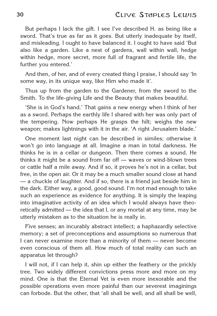#### **30** Clive Staples Lewis

But perhaps I lack the gift. I see I've described H. as being like a sword. That's true as far as it goes. But utterly inadequate by itself, and misleading. I ought to have balanced it. I ought to have said 'But also like a garden. Like a nest of gardens, wall within wall, hedge within hedge, more secret, more full of fragrant and fertile life, the further you entered.'

And then, of her, and of every created thing I praise, I should say 'In some way, in its unique way, like Him who made it'.

Thus up from the garden to the Gardener, from the sword to the Smith. To the life-giving Life and the Beauty that makes beautiful.

'She is in God's hand.' That gains a new energy when I think of her as a sword. Perhaps the earthly life I shared with her was only part of the tempering. Now perhaps He grasps the hilt; weighs the new weapon; makes lightnings with it in the air. 'A right Jerusalem blade.'

One moment last night can be described in similes; otherwise it won't go into language at all. Imagine a man in total darkness. He thinks he is in a cellar or dungeon. Then there comes a sound. He thinks it might be a sound from far off — waves or wind-blown trees or cattle half a mile away. And if so, it proves he's not in a cellar, but free, in the open air. Or it may be a much smaller sound close at hand — a chuckle of laughter. And if so, there is a friend just beside him in the dark. Either way, a good, good sound. I'm not mad enough to take such an experience as evidence for anything. It is simply the leaping into imaginative activity of an idea which I would always have theoretically admitted — the idea that I, or any mortal at any time, may be utterly mistaken as to the situation he is really in.

Five senses; an incurably abstract intellect; a haphazardly selective memory; a set of preconceptions and assumptions so numerous that I can never examine more than a minority of them — never become even conscious of them all. How much of total reality can such an apparatus let through?

I will not, if I can help it, shin up either the feathery or the prickly tree. Two widely different convictions press more and more on my mind. One is that the Eternal Vet is even more inexorable and the possible operations even more painful than our severest imaginings can forbode. But the other, that 'all shall be well, and all shall be well,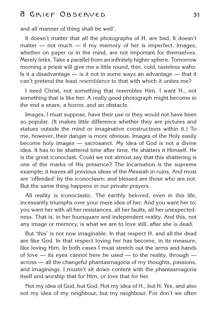and all manner of thing shall be well'.

It doesn't matter that all the photographs of H. are bad. It doesn't matter  $-$  not much  $-$  if my memory of her is imperfect. Images, whether on paper or in the mind, are not important for themselves. Merely links. Take a parallel from an infinitely higher sphere. Tomorrow morning a priest will give me a little round, thin, cold, tasteless wafer. Is it a disadvantage — is it not in some ways an advantage — that it can't pretend the least *resemblance* to that with which it unites me?

I need Christ, not something that resembles Him. I want H., not something that is like her. A really good photograph might become in the end a snare, a horror, and an obstacle.

Images, I must suppose, have their use or they would not have been so popular. (It makes little difference whether they are pictures and statues outside the mind or imaginative constructions within it.) To me, however, their danger is more obvious. Images of the Holy easily become holy images — sacrosanct. My idea of God is not a divine idea. It has to be shattered time after time. He shatters it Himself. He is the great iconoclast. Could we not almost say that this shattering is one of the marks of His presence? The Incarnation is the supreme example; it leaves all previous ideas of the Messiah in ruins. And most are 'offended' by the iconoclasm; and blessed are those who are not. But the same thing happens in our private prayers.

All reality is iconoclastic. The earthly beloved, even in this life, incessantly triumphs over your mere idea of her. And you want her to; you want her with all her resistances, all her faults, all her unexpectedness. That is, in her foursquare and independent reality. And this, not any image or memory, is what we are to love still, after she is dead.

But 'this' is not now imaginable. In that respect H. and all the dead are like God. In that respect loving her has become, in its measure, like loving Him. In both cases I must stretch out the arms and hands of love  $-$  its eyes cannot here be used  $-$  to the reality, through  $$ across — all the changeful phantasmagoria of my thoughts, passions, and imaginings. I mustn't sit down content with the phantasmagoria itself and worship that for Him, or love that for her.

Not my idea of God, but God. Not my idea of H., but H. Yes, and also not my idea of my neighbour, but my neighbour. For don't we often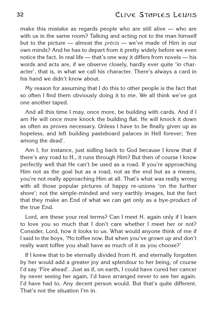make this mistake as regards people who are still alive — who are with us in the same room? Talking and acting not to the man himself but to the picture — almost the *précis* — we've made of Him in our own minds? And he has to depart from it pretty widely before we even notice the fact. In real life — that's one way it differs from novels — his words and acts are, if we observe closely, hardly ever quite 'in character', that is, in what we call his character. There's always a card in his hand we didn't know about.

My reason for assuming that I do this to other people is the fact that so often I find them obviously doing it to me. We all think we've got one another taped.

And all this time I may, once more, be building with cards. And if I am He will once more knock the building flat. He will knock it down as often as proves necessary. Unless I have to be finally given up as hopeless, and left building pasteboard palaces in Hell forever; 'free among the dead'.

Am I, for instance, just sidling back to God because I know that if there's any road to H., it runs through Him? But then of course I know perfectly well that He can't be used as a road. If you're approaching Him not as the goal but as a road, not as the end but as a means, you're not really approaching Him at all. That's what was really wrong with all those popular pictures of happy re-unions 'on the further shore'; not the simple-minded and very earthly images, but the fact that they make an End of what we can get only as a bye-product of the true End.

Lord, are these your real terms? Can I meet H. again only if I learn to love you so much that I don't care whether I meet her or not? Consider, Lord, how it looks to us. What would anyone think of me if I said to the boys, 'No toffee now. But when you've grown up and don't really want toffee you shall have as much of it as you choose?'

If I knew that to be eternally divided from H. and eternally forgotten by her would add a greater joy and splendour to her being, of course I'd say 'Fire ahead'. Just as if, on earth, I could have cured her cancer by never seeing her again, I'd have arranged never to see her again. I'd have had to. Any decent person would. But that's quite different. That's not the situation I'm in.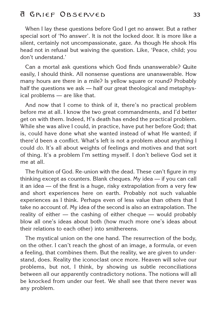When I lay these questions before God I get no answer. But a rather special sort of 'No answer'. It is not the locked door. It is more like a silent, certainly not uncompassionate, gaze. As though He shook His head not in refusal but waiving the question. Like, 'Peace, child; you don't understand.'

Can a mortal ask questions which God finds unanswerable? Quite easily, I should think. All nonsense questions are unanswerable. How many hours are there in a mile? Is yellow square or round? Probably half the questions we ask — half our great theological and metaphysical problems — are like that.

And now that I come to think of it, there's no practical problem before me at all. I know the two great commandments, and I'd better get on with them. Indeed, H's death has ended the practical problem. While she was alive I could, in practice, have put her before God; that is, could have done what she wanted instead of what He wanted; if there'd been a conflict. What's left is not a problem about anything I could *do*. It's all about weights of feelings and motives and that sort of thing. It's a problem I'm setting myself. I don't believe God set it me at all.

The fruition of God. Re-union with the dead. These can't figure in my thinking except as counters. Blank cheques. My idea — if you can call it an idea — of the first is a huge, risky extrapolation from a very few and short experiences here on earth. Probably not such valuable experiences as I think. Perhaps even of less value than others that I take no account of. My idea of the second is also an extrapolation. The reality of either — the cashing of either cheque — would probably blow all one's ideas about both (how much more one's ideas about their relations to each other) into smithereens.

The mystical union on the one hand. The resurrection of the body, on the other. I can't reach the ghost of an image, a formula, or even a feeling, that combines them. But the reality, we are given to understand, does. Reality the iconoclast once more. Heaven will solve our problems, but not, I think, by showing us subtle reconciliations between all our apparently contradictory notions. The notions will all be knocked from under our feet. We shall see that there never was any problem.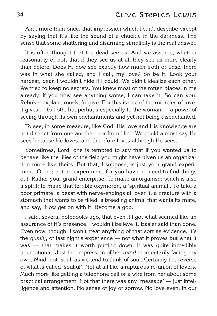And, more than once, that impression which I can't describe except by saying that it's like the sound of a chuckle in the darkness. The sense that some shattering and disarming simplicity is the real answer.

It is often thought that the dead see us. And we assume, whether reasonably or not, that if they see us at all they see us more clearly than before. Does H. now see exactly how much froth or tinsel there was in what she called, and I call, my love? So be it. Look your hardest, dear. I wouldn't hide if I could. We didn't idealize each other. We tried to keep no secrets. You knew most of the rotten places in me already. If you now see anything worse, I can take it. So can you. Rebuke, explain, mock, forgive. For this is one of the miracles of love; it gives — to both, but perhaps especially to the woman — a power of seeing through its own enchantments and yet not being disenchanted.

To see, in some measure, like God. His love and His knowledge are not distinct from one another, nor from Him. We could almost say He sees because He loves, and therefore loves although He sees.

Sometimes, Lord, one is tempted to say that if you wanted us to behave like the lilies of the field you might have given us an organization more like theirs. But that, I suppose, is just your grand experiment. Or no; not an experiment, for you have no need to find things out. Rather your grand enterprise. To make an organism which is also a spirit; to make that terrible oxymoron, a 'spiritual animal'. To take a poor primate, a beast with nerve-endings all over it, a creature with a stomach that wants to be filled, a breeding animal that wants its mate, and say, 'Now get on with it. Become a god.'

I said, several notebooks ago, that even if I got what seemed like an assurance of H's presence, I wouldn't believe it. Easier said than done. Even now, though, I won't treat anything of that sort as evidence. It's the *quality* of last night's experience — not what it proves but what it was — that makes it worth putting down. It was quite incredibly unemotional. Just the impression of her *mind* momentarily facing my own. Mind, not 'soul' as we tend to think of soul. Certainly the reverse of what is called 'soulful'. Not at all like a rapturous re-union of lovers. Much more like getting a telephone call or a wire from her about some practical arrangement. Not that there was any 'message' — just intelligence and attention. No sense of joy or sorrow. No love even, in our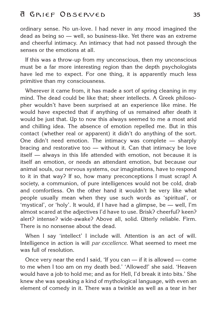ordinary sense. No un-love. I had never in any mood imagined the dead as being so — well, so business-like. Yet there was an extreme and cheerful intimacy. An intimacy that had not passed through the senses or the emotions at all.

If this was a throw-up from my unconscious, then my unconscious must be a far more interesting region than the depth psychologists have led me to expect. For one thing, it is apparently much less primitive than my consciousness.

Wherever it came from, it has made a sort of spring cleaning in my mind. The dead could be like that; sheer intellects. A Greek philosopher wouldn't have been surprised at an experience like mine. He would have expected that if anything of us remained after death it would be just that. Up to now this always seemed to me a most arid and chilling idea. The absence of emotion repelled me. But in this contact (whether real or apparent) it didn't do anything of the sort. One didn't need emotion. The intimacy was complete — sharply bracing and restorative too — without it. Can that intimacy be love itself — always in this life attended with emotion, not because it is itself an emotion, or needs an attendant emotion, but because our animal souls, our nervous systems, our imaginations, have to respond to it in that way? If so, how many preconceptions I must scrap! A society, a communion, of pure intelligences would not be cold, drab and comfortless. On the other hand it wouldn't be very like what people usually mean when they use such words as 'spiritual', or 'mystical', or 'holy'. It would, if I have had a glimpse, be — well, I'm almost scared at the adjectives I'd have to use. Brisk? cheerful? keen? alert? intense? wide-awake? Above all, solid. Utterly reliable. Firm. There is no nonsense about the dead.

When I say 'intellect' I include will. Attention is an act of will. Intelligence in action is will *par excellence*. What seemed to meet me was full of resolution.

Once very near the end I said, 'If you can — if it is allowed — come to me when I too am on my death bed.' 'Allowed!' she said. 'Heaven would have a job to hold me; and as for Hell, I'd break it into bits.' She knew she was speaking a kind of mythological language, with even an element of comedy in it. There was a twinkle as well as a tear in her